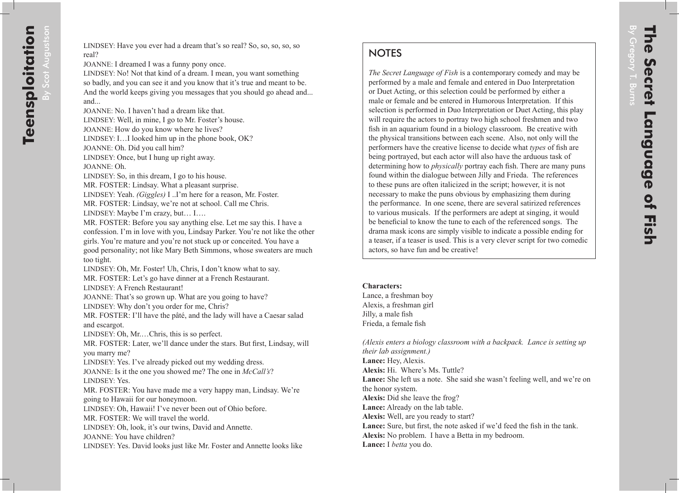## **NOTES**

*The Secret Language of Fish* is a contemporary comedy and may be performed by a male and female and entered in Duo Interpretation or Duet Acting, or this selection could be performed by either a male or female and be entered in Humorous Interpretation. If this selection is performed in Duo Interpretation or Duet Acting, this play will require the actors to portray two high school freshmen and two fish in an aquarium found in a biology classroom. Be creative with the physical transitions between each scene. Also, not only will the performers have the creative license to decide what *types* of fish are being portrayed, but each actor will also have the arduous task of determining how to *physically* portray each fish. There are many puns found within the dialogue between Jilly and Frieda. The references to these puns are often italicized in the script; however, it is not necessary to make the puns obvious by emphasizing them during the performance. In one scene, there are several satirized references to various musicals. If the performers are adept at singing, it would be beneficial to know the tune to each of the referenced songs. The drama mask icons are simply visible to indicate a possible ending for a teaser, if a teaser is used. This is a very clever script for two comedic actors, so have fun and be creative!

## **Characters:**

Lance, a freshman boy Alexis, a freshman girl Jilly, a male fish Frieda, a female fish

*(Alexis enters a biology classroom with a backpack. Lance is setting up their lab assignment.)*  **Lance:** Hey, Alexis. **Alexis:** Hi. Where's Ms. Tuttle? **Lance:** She left us a note. She said she wasn't feeling well, and we're on the honor system. **Alexis:** Did she leave the frog? **Lance:** Already on the lab table. **Alexis:** Well, are you ready to start? **Lance:** Sure, but first, the note asked if we'd feed the fish in the tank. **Alexis:** No problem. I have a Betta in my bedroom. **Lance:** I *betta* you do.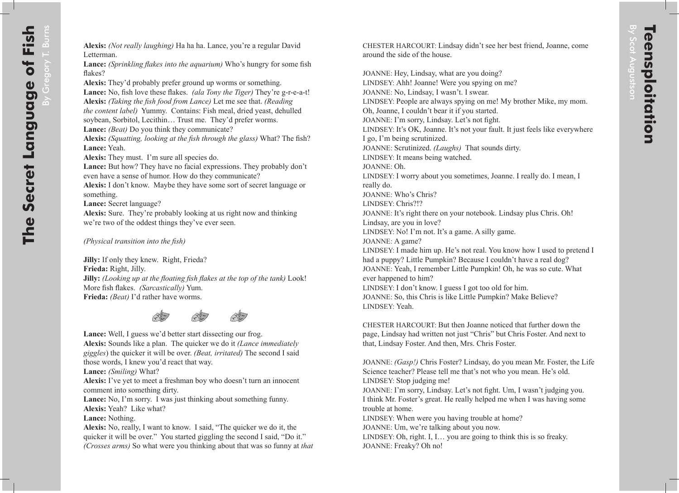$\overline{B}$ 

Gregory

T. Burns

**Alexis:** *(Not really laughing)* Ha ha ha. Lance, you're a regular David Letterman.

**Lance:** *(Sprinkling flakes into the aquarium)* Who's hungry for some fish flakes?

**Alexis:** They'd probably prefer ground up worms or something.

**Lance:** No, fish love these flakes. *(ala Tony the Tiger)* They're g-r-e-a-t! **Alexis:** *(Taking the fish food from Lance)* Let me see that. *(Reading the content label)* Yummy. Contains: Fish meal, dried yeast, dehulled soybean, Sorbitol, Lecithin… Trust me. They'd prefer worms.

**Lance:** *(Beat)* Do you think they communicate?

**Alexis:** *(Squatting, looking at the fish through the glass)* What? The fish? **Lance:** Yeah.

**Alexis:** They must. I'm sure all species do.

**Lance:** But how? They have no facial expressions. They probably don't even have a sense of humor. How do they communicate?

**Alexis:** I don't know. Maybe they have some sort of secret language or something.

**Lance:** Secret language?

**Alexis:** Sure. They're probably looking at us right now and thinking we're two of the oddest things they've ever seen.

*(Physical transition into the fish)*

**Jilly:** If only they knew. Right, Frieda? **Frieda:** Right, Jilly.

**Jilly:** *(Looking up at the floating fish flakes at the top of the tank)* Look! More fish flakes. *(Sarcastically)* Yum.

**Frieda:** *(Beat)* I'd rather have worms.



**Lance:** Well, I guess we'd better start dissecting our frog. **Alexis:** Sounds like a plan. The quicker we do it *(Lance immediately giggles*) the quicker it will be over. *(Beat, irritated)* The second I said those words, I knew you'd react that way.

**Lance:** *(Smiling)* What?

**Alexis:** I've yet to meet a freshman boy who doesn't turn an innocent comment into something dirty.

**Lance:** No, I'm sorry. I was just thinking about something funny. **Alexis:** Yeah? Like what?

**Lance:** Nothing.

**Alexis:** No, really, I want to know. I said, "The quicker we do it, the quicker it will be over." You started giggling the second I said, "Do it." *(Crosses arms)* So what were you thinking about that was so funny at *that*